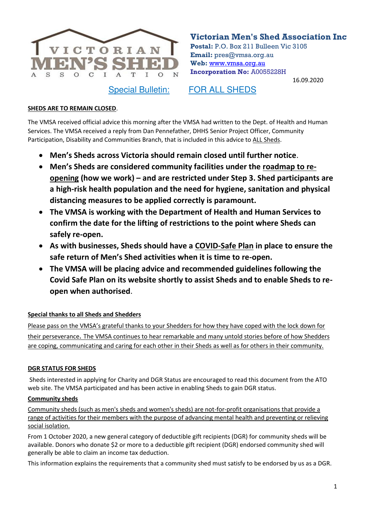

**Victorian Men's Shed Association Inc**

**Postal:** P.O. Box 211 Bulleen Vic 3105 **Email:** pres@vmsa.org.au **Web:** [www.vmsa.org.au](http://www.vmsa.org.au/) **Incorporation No:** A0055228H

16.09.2020

Special Bulletin: FOR ALL SHEDS

#### **SHEDS ARE TO REMAIN CLOSED**.

The VMSA received official advice this morning after the VMSA had written to the Dept. of Health and Human Services. The VMSA received a reply from Dan Pennefather, DHHS Senior Project Officer, Community Participation, Disability and Communities Branch, that is included in this advice to ALL Sheds.

- **Men's Sheds across Victoria should remain closed until further notice**.
- **Men's Sheds are considered community facilities under the [roadmap to re](https://www.vic.gov.au/coronavirus-covid-19-restrictions-roadmaps)[opening](https://www.vic.gov.au/coronavirus-covid-19-restrictions-roadmaps) (how we work) – and are restricted under Step 3. Shed participants are a high-risk health population and the need for hygiene, sanitation and physical distancing measures to be applied correctly is paramount.**
- **The VMSA is working with the Department of Health and Human Services to confirm the date for the lifting of restrictions to the point where Sheds can safely re-open.**
- **As with businesses, Sheds should have a [COVID-Safe Plan](https://www.business.vic.gov.au/coronavirus-covid-19/covid-safe-business/creating-a-covid-safe-workplace) in place to ensure the safe return of Men's Shed activities when it is time to re-open.**
- **The VMSA will be placing advice and recommended guidelines following the Covid Safe Plan on its website shortly to assist Sheds and to enable Sheds to reopen when authorised**.

# **Special thanks to all Sheds and Shedders**

Please pass on the VMSA's grateful thanks to your Shedders for how they have coped with the lock down for their perseverance. The VMSA continues to hear remarkable and many untold stories before of how Shedders are coping, communicating and caring for each other in their Sheds as well as for others in their community.

# **DGR STATUS FOR SHEDS**

Sheds interested in applying for Charity and DGR Status are encouraged to read this document from the ATO web site. The VMSA participated and has been active in enabling Sheds to gain DGR status.

#### **Community sheds**

Community sheds (such as men's sheds and women's sheds) are not-for-profit organisations that provide a range of activities for their members with the purpose of advancing mental health and preventing or relieving social isolation.

From 1 October 2020, a new general category of deductible gift recipients (DGR) for community sheds will be available. Donors who donate \$2 or more to a deductible gift recipient (DGR) endorsed community shed will generally be able to claim an income tax deduction.

This information explains the requirements that a community shed must satisfy to be endorsed by us as a DGR.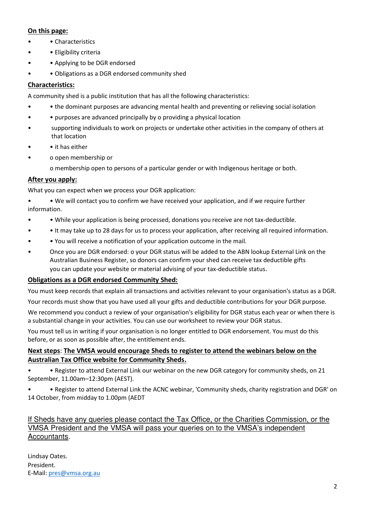# **On this page:**

- Characteristics
- • Eligibility criteria
- • Applying to be DGR endorsed
- Obligations as a DGR endorsed community shed

# **Characteristics:**

A community shed is a public institution that has all the following characteristics:

- • the dominant purposes are advancing mental health and preventing or relieving social isolation
- • purposes are advanced principally by o providing a physical location
- supporting individuals to work on projects or undertake other activities in the company of others at that location
- • it has either
- o open membership or

o membership open to persons of a particular gender or with Indigenous heritage or both*.* 

# **After you apply:**

What you can expect when we process your DGR application:

• • We will contact you to confirm we have received your application, and if we require further information.

- • While your application is being processed, donations you receive are not tax-deductible.
- • It may take up to 28 days for us to process your application, after receiving all required information.
- • You will receive a notification of your application outcome in the mail.
- Once you are DGR endorsed: o your DGR status will be added to the ABN lookup External Link on the Australian Business Register, so donors can confirm your shed can receive tax deductible gifts you can update your website or material advising of your tax-deductible status.

#### **Obligations as a DGR endorsed Community Shed:**

You must keep records that explain all transactions and activities relevant to your organisation's status as a DGR.

Your records must show that you have used all your gifts and deductible contributions for your DGR purpose.

We recommend you conduct a review of your organisation's eligibility for DGR status each year or when there is a substantial change in your activities. You can use our worksheet to review your DGR status.

You must tell us in writing if your organisation is no longer entitled to DGR endorsement. You must do this before, or as soon as possible after, the entitlement ends.

# **Next steps**: **The VMSA would encourage Sheds to register to attend the webinars below on the Australian Tax Office website for Community Sheds.**

• • Register to attend External Link our webinar on the new DGR category for community sheds, on 21 September, 11.00am–12:30pm (AEST).

• • Register to attend External Link the ACNC webinar, 'Community sheds, charity registration and DGR' on 14 October, from midday to 1.00pm (AEDT

#### If Sheds have any queries please contact the Tax Office, or the Charities Commission, or the VMSA President and the VMSA will pass your queries on to the VMSA's independent Accountants.

Lindsay Oates. President. E-Mail: [pres@vmsa.org.au](mailto:pres@vmsa.org.au)